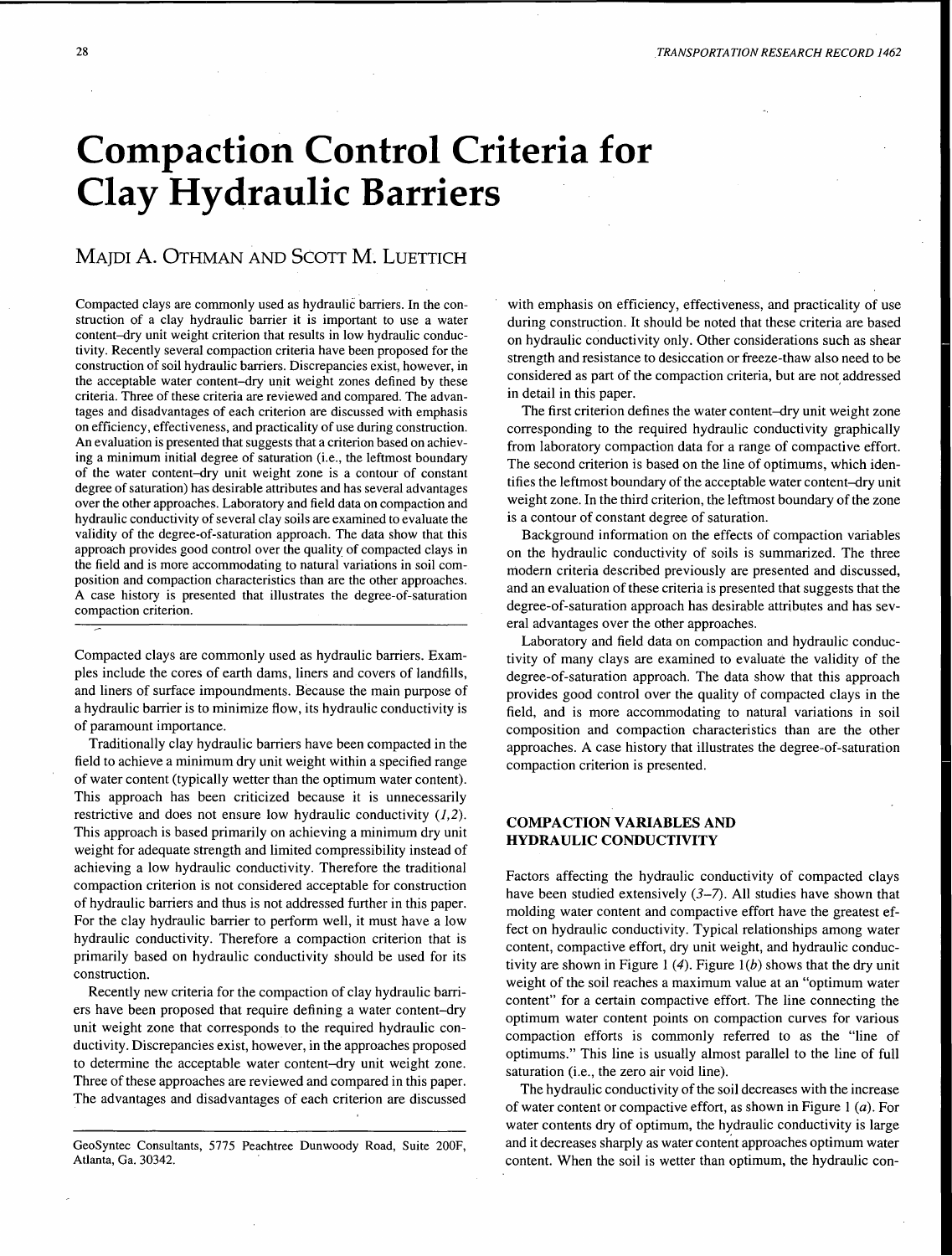# **Compaction Control Criteria for Clay Hydraulic Barriers**

# MAJDI A. OTHMAN AND SCOTT **M.** LUETTICH

Compacted clays are commonly used as hydraulic barriers. In the construction of a clay hydraulic barrier it is important to use a water content-dry unit weight criterion that results in low hydraulic conductivity. Recently several compaction criteria have been proposed for the construction of soil hydraulic barriers. Discrepancies exist, however, in the acceptable water content-dry unit weight zones defined by these criteria. Three of these criteria are reviewed and compared. The advantages and disadvantages of each criterion are discussed with emphasis on efficiency, effectiveness, and practicality of use during construction. An evaluation is presented that suggests that a criterion based on achieving a minimum initial degree of saturation (i.e., the leftmost boundary of the water content-dry unit weight zone is a contour of constant degree of saturation) has desirable attributes and has several advantages over the other approaches. Laboratory and field data on compaction and hydraulic conductivity of several clay soils are examined to evaluate the validity of the degree-of-saturation approach. The data show that this approach provides good control over the quality of compacted clays in the field and is more accommodating to natural variations in soil composition and compaction characteristics than are the other approaches. A case history is presented that illustrates the degree-of-saturation compaction criterion.

Compacted clays are commonly used as hydraulic barriers. Examples include the cores of earth dams, liners and covers of landfills, and liners of surface impoundments. Because the main purpose of a hydraulic barrier is to minimize flow, its hydraulic conductivity is of paramount importance.

Traditionally clay hydraulic barriers have been compacted in the field to achieve a minimum dry unit weight within a specified range of water content (typically wetter than the optimum water content). This approach has been criticized because it is unnecessarily restrictive and does not ensure low hydraulic conductivity  $(1,2)$ . This approach is based primarily on achieving a minimum dry unit weight for adequate strength and limited compressibility instead of achieving a low hydraulic conductivity. Therefore the traditional compaction criterion is not considered acceptable for construction of hydraulic barriers and thus is not addressed further in this paper. For the clay hydraulic barrier to perform well, it must have a low hydraulic conductivity. Therefore a compaction criterion that is primarily based on hydraulic conductivity should be used for its construction.

Recently new criteria for the compaction of clay hydraulic barriers have been proposed that require defining a water content-dry unit weight zone that corresponds to the required hydraulic conductivity. Discrepancies exist, however, in the approaches proposed to determine the acceptable water content-dry unit weight zone. Three of these approaches are reviewed and compared in this paper. The advantages and disadvantages of each criterion are discussed with emphasis on efficiency, effectiveness, and practicality of use during construction. It should be noted that these criteria are based on hydraulic conductivity only. Other considerations such as shear strength and resistance to desiccation or freeze-thaw also need to be considered as part of the compaction criteria, but are not addressed in detail in this paper.

The first criterion defines the water content-dry unit weight zone corresponding to the required hydraulic conductivity graphically from laboratory compaction data for a range of compactive effort. The second criterion is based on the line of optimums, which identifies the leftmost boundary of the acceptable water content-dry unit weight zone. In the third criterion, the leftmost boundary of the zone is a contour of constant degree of saturation.

Background information on the effects of compaction variables on the hydraulic conductivity of soils is summarized. The three modem criteria described previously are presented and discussed, and an evaluation of these criteria is presented that suggests that the degree-of-saturation approach has desirable attributes and has several advantages over the other approaches.

Laboratory and field data on compaction and hydraulic conductivity of many clays are examined to evaluate the validity of the degree-of-saturation approach. The data show that this approach provides good control over the quality of compacted clays in the field, and is more accommodating to natural variations in soil composition and compaction characteristics than are the other approaches. A case history that illustrates the degree-of-saturation compaction criterion is presented.

# **COMPACTION VARIABLES AND HYDRAULIC CONDUCTIVITY**

Factors affecting the hydraulic conductivity of compacted clays have been studied extensively *(3-7).* All studies have shown that molding water content and compactive effort have the greatest effect on hydraulic conductivity. Typical relationships among water content, compactive effort, dry unit weight, and hydraulic conductivity are shown in Figure 1 (4). Figure 1(b) shows that the dry unit weight of the soil reaches a maximum value at an "optimum water content" for a certain compactive effort. The line connecting the optimum water content points on compaction curves for various compaction efforts is commonly referred to as the "line of optimums." This line is usually almost parallel to the line of full saturation (i.e., the zero air void line).

The hydraulic conductivity of the soil decreases with the increase of water content or compactive effort, as shown in Figure 1 (a). For water contents dry of optimum, the hydraulic conductivity is large and it decreases sharply as water content approaches optimum water content. When the soil is wetter than optimum, the hydraulic con-

GeoSyntec Consultants, 5775 Peachtree Dunwoody Road, Suite 200F, Atlanta, Ga. 30342.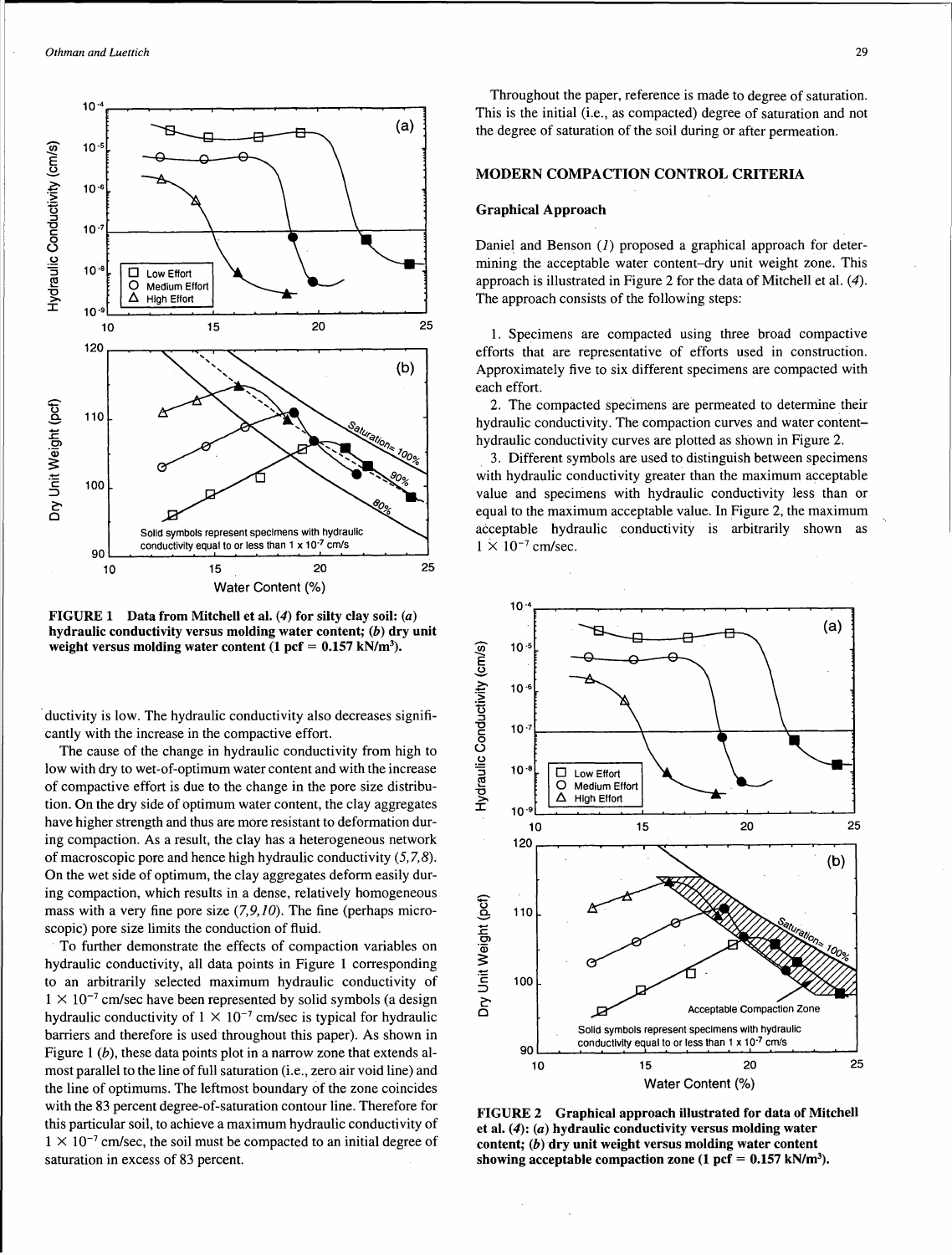

FIGURE 1 Data from Mitchell et al.  $(4)$  for silty clay soil:  $(a)$ hydraulic conductivity versus molding water content; (b) dry unit weight versus molding water content  $(1 \text{ pcf} = 0.157 \text{ kN/m}^3)$ .

ductivity is low. The hydraulic conductivity also decreases significantly with the increase in the compactive effort.

The cause of the change in hydraulic conductivity from high to low with dry to wet-of-optimum water content and with the increase of compactive effort is due to the change in the pore size distribution. On the dry side of optimum water content, the clay aggregates have higher strength and thus are more resistant to deformation during compaction. As a result, the clay has a heterogeneous network of macroscopic pore and hence high hydraulic conductivity  $(5, 7, 8)$ . On the wet side of optimum, the clay aggregates deform easily during compaction, which results in a dense, relatively homogeneous mass with a very fine pore size  $(7, 9, 10)$ . The fine (perhaps microscopic) pore size limits the conduction of fluid.

To further demonstrate the effects of compaction variables on hydraulic conductivity, all data points in Figure 1 corresponding to an arbitrarily selected maximum hydraulic conductivity of  $1 \times 10^{-7}$  cm/sec have been represented by solid symbols (a design hydraulic conductivity of  $1 \times 10^{-7}$  cm/sec is typical for hydraulic barriers and therefore is used throughout this paper). As shown in Figure 1 (b), these data points plot in a narrow zone that extends almost parallel to the line of full saturation (i.e., zero air void line) and the line of optimums. The leftmost boundary of the zone coincides with the 83 percent degree-of-saturation contour line. Therefore for this particular soil, to achieve a maximum hydraulic conductivity of  $1 \times 10^{-7}$  cm/sec, the soil must be compacted to an initial degree of saturation in excess of 83 percent.

Throughout the paper, reference is made to degree of saturation. This is the initial (i.e., as compacted) degree of saturation and not the degree of saturation of the soil during or after permeation.

#### MODERN COMPACTION CONTROL CRITERIA

#### Graphical Approach

Daniel and Benson  $(I)$  proposed a graphical approach for determining the acceptable water content-dry unit weight zone. This approach is illustrated in Figure 2 for the data of Mitchell et al.  $(4)$ . The approach consists of the following steps:

1. Specimens are compacted using three broad compactive efforts that are representative of efforts used in construction. Approximately five to six different specimens are compacted with each effort.

2. The compacted specimens are permeated to determine their hydraulic conductivity. The compaction curves and water contenthydraulic conductivity curves are plotted as shown in Figure 2.

. 3. Different symbols are used to distinguish between specimens with hydraulic conductivity greater than the maximum acceptable value and specimens with hydraulic conductivity less than or equal to the maximum acceptable value. In Figure 2, the maximum acceptable hydraulic conductivity is arbitrarily shown as  $1 \times 10^{-7}$  cm/sec.



FIGURE 2 Graphical approach illustrated for data of Mitchell et al. (4): (a) hydraulic conductivity versus molding water content; (b) dry unit weight versus molding water content showing acceptable compaction zone  $(1 \text{ pcf} = 0.157 \text{ kN/m}^3)$ .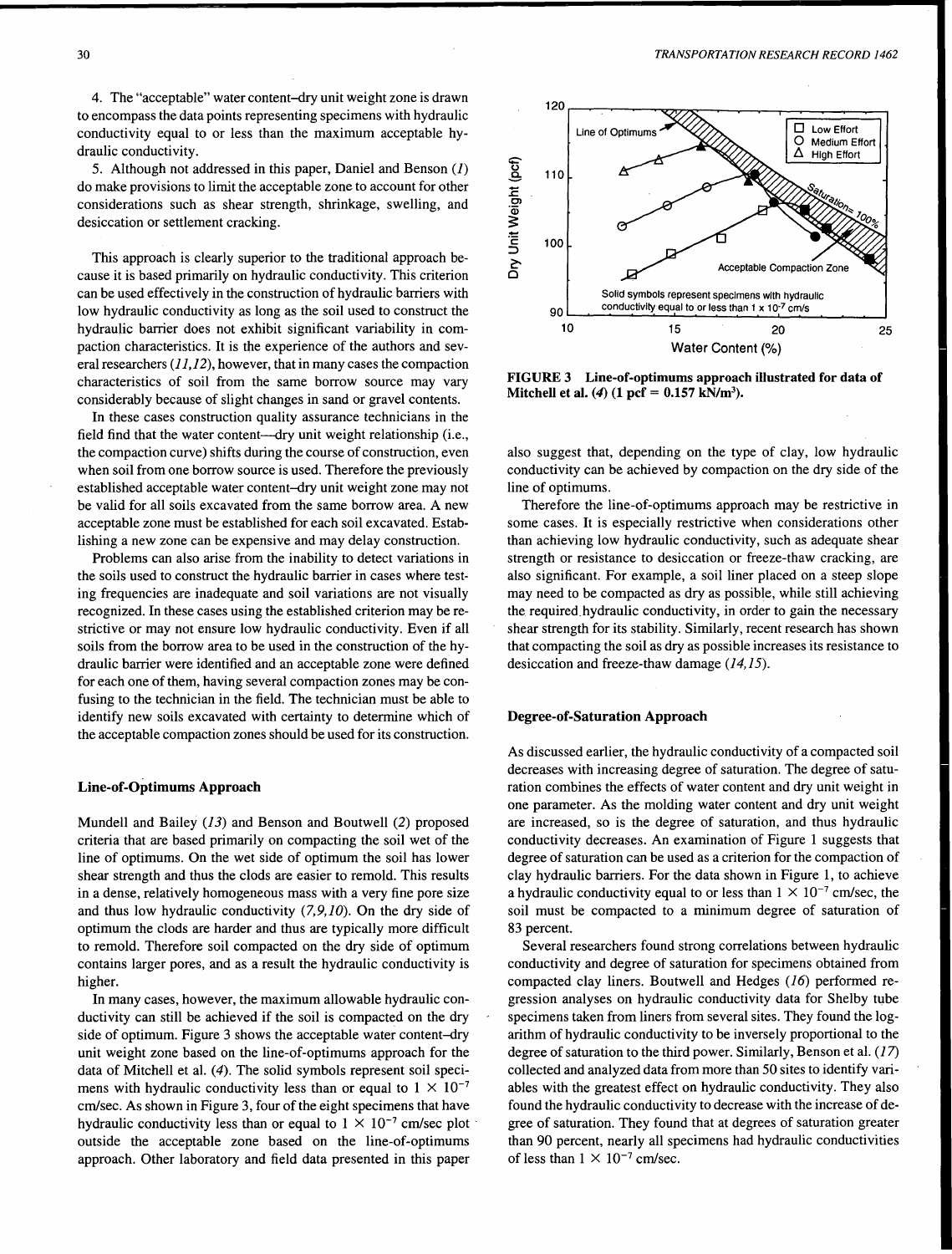4. The "acceptable" water content-dry unit weight zone is drawn to encompass the data points representing specimens with hydraulic conductivity equal to or less than the maximum acceptable hydraulic conductivity.

5. Although not addressed in this paper, Daniel and Benson (J) do make provisions to limit the acceptable zone to account for other considerations such as shear strength, shrinkage, swelling, and desiccation or settlement cracking.

This approach is clearly superior to the traditional approach because it is based primarily on hydraulic conductivity. This criterion can be used effectively in the construction of hydraulic barriers with low hydraulic conductivity as long as the soil used to construct the hydraulic barrier does not exhibit significant variability in compaction characteristics. It is the experience of the authors and several researchers  $(11, 12)$ , however, that in many cases the compaction characteristics of soil from the same borrow source may vary considerably because of slight changes in sand or gravel contents.

In these cases construction quality assurance technicians in the field find that the water content-dry unit weight relationship (i.e., the compaction curve) shifts during the course of construction, even when soil from one borrow source is used. Therefore the previously established acceptable water content-dry unit weight zone may not be valid for all soils excavated from the same borrow area. A new acceptable zone must be established for each soil excavated. Establishing a new zone can be expensive and may delay construction.

Problems can also arise from the inability to detect variations in the soils used to construct the hydraulic barrier in cases where testing frequencies are inadequate and soil variations are not visually recognized. In these cases using the established criterion may be restrictive or may not ensure low hydraulic conductivity. Even if all soils from the borrow area to be used in the construction of the hydraulic barrier were identified and an acceptable zone were defined for each one of them, having several compaction zones may be confusing to the technician in the field. The technician must be able to identify new soils excavated with certainty to determine which of the acceptable compaction zones should be used for its construction.

#### Line-of-Optimums Approach

Mundell and Bailey (13) and Benson and Boutwell (2) proposed criteria that are based primarily on compacting the soil wet of the line of optimums. On the wet side of optimum the soil has lower shear strength and thus the clods are easier to remold. This results in a dense, relatively homogeneous mass with a very fine pore size and thus low hydraulic conductivity  $(7,9,10)$ . On the dry side of optimum the clods are harder and thus are typically more difficult to remold. Therefore soil compacted on the dry side of optimum contains larger pores, and as a result the hydraulic conductivity is higher.

In many cases, however, the maximum allowable hydraulic conductivity can still be achieved if the soil is compacted on the dry side of optimum. Figure 3 shows the acceptable water content-dry unit weight zone based on the line-of-optimums approach for the data of Mitchell et al. (4). The solid symbols represent soil specimens with hydraulic conductivity less than or equal to  $1 \times 10^{-7}$ cm/sec. As shown in Figure 3, four of the eight specimens that have hydraulic conductivity less than or equal to  $1 \times 10^{-7}$  cm/sec plot outside the acceptable zone based on the line-of-optimums approach. Other laboratory and field data presented in this paper



FIGURE 3 Line-of-optimums approach illustrated for data of Mitchell et al. (4) (1 pcf =  $0.157$  kN/m<sup>3</sup>).

also suggest that, depending on the type of clay, low hydraulic conductivity can be achieved by compaction on the dry side of the line of optimums.

Therefore the line-of-optimums approach may be restrictive in some cases. It is especially restrictive when considerations other than achieving low hydraulic conductivity, such as adequate shear strength or resistance to desiccation or freeze-thaw cracking, are also significant. For example, a soil liner placed on a steep slope may need to be compacted as dry as possible, while still achieving the required\_hydraulic conductivity, in order to gain the necessary shear strength for its stability. Similarly, recent research has shown that compacting the soil as dry as possible increases its resistance to desiccation and freeze-thaw damage (14,15).

#### Degree-of-Saturation Approach

As discussed earlier, the hydraulic conductivity of a compacted soil decreases with increasing degree of saturation. The degree of saturation combines the effects of water content and dry unit weight in one parameter. As the molding water content and dry unit weight are increased, so is the degree of saturation, and thus hydraulic conductivity decreases. An examination of Figure 1 suggests that degree of saturation can be used as a criterion for the compaction of clay hydraulic barriers. For the data shown in Figure 1, to achieve a hydraulic conductivity equal to or less than  $1 \times 10^{-7}$  cm/sec, the soil must be compacted to a minimum degree of saturation of 83 percent.

Several researchers found strong correlations between hydraulic conductivity and degree of saturation for specimens obtained from compacted clay liners. Boutwell and Hedges (16) performed regression analyses on hydraulic conductivity data for Shelby tube specimens taken from liners from several sites. They found the logarithm of hydraulic conductivity to be inversely proportional to the degree of saturation to the third power. Similarly, Benson et al. (17) collected and analyzed data from more than 50 sites to identify variables with the greatest effect on hydraulic conductivity. They also found the hydraulic conductivity to decrease with the increase of degree of saturation. They found that at degrees of saturation greater than 90 percent, nearly all specimens had hydraulic conductivities of less than  $1 \times 10^{-7}$  cm/sec.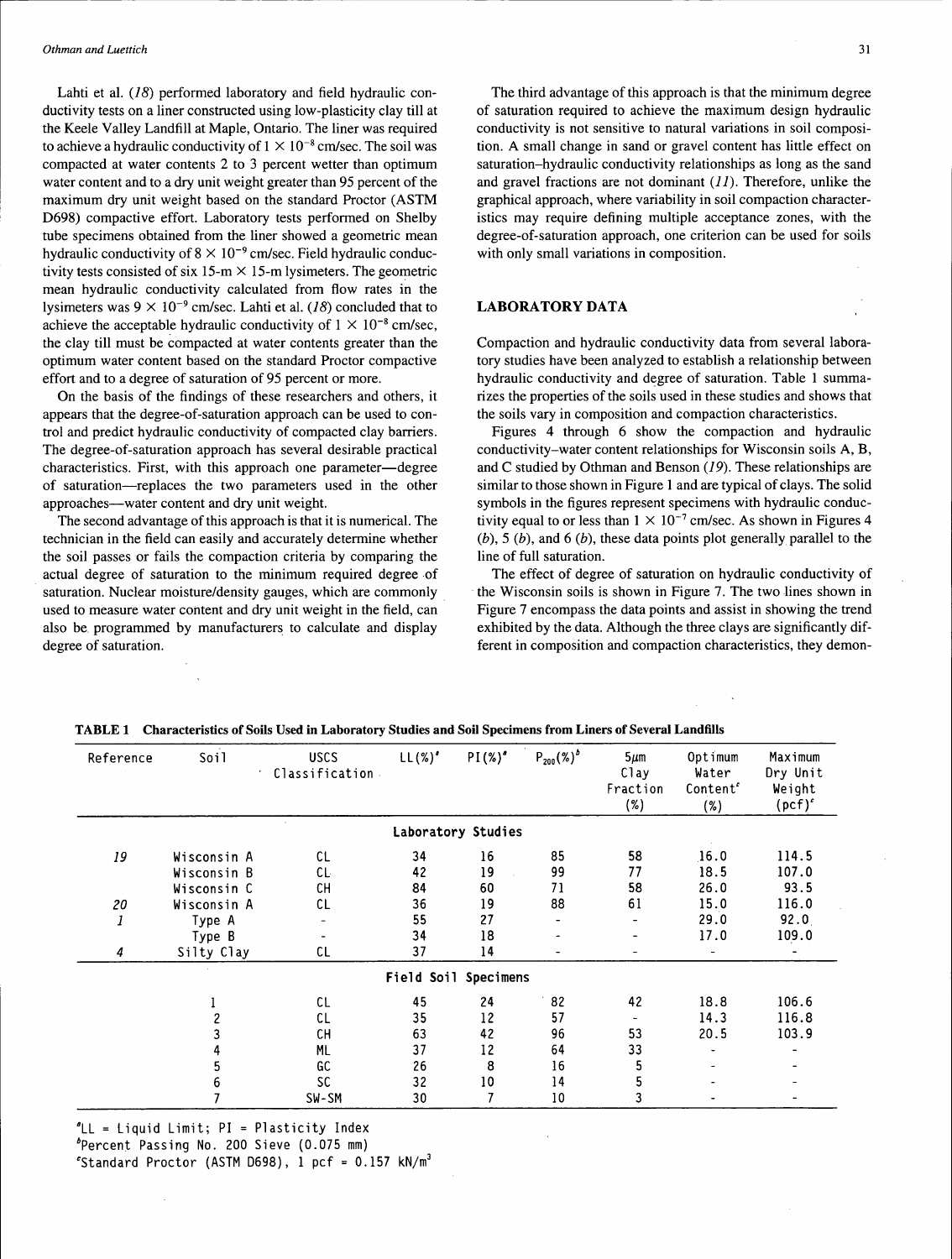Lahti et al. (18) performed laboratory and field hydraulic conductivity tests on a liner constructed using low-plasticity clay till at the Keele Valley Landfill at Maple, Ontario. The liner was required to achieve a hydraulic conductivity of  $1 \times 10^{-8}$  cm/sec. The soil was compacted at water contents 2 to 3 percent wetter than optimum water content and to a dry unit weight greater than 95 percent of the maximum dry unit weight based on the standard Proctor (ASTM D698) compactive effort. Laboratory tests performed on Shelby tube specimens obtained from the liner showed a geometric mean hydraulic conductivity of  $8 \times 10^{-9}$  cm/sec. Field hydraulic conductivity tests consisted of six 15-m  $\times$  15-m lysimeters. The geometric mean hydraulic conductivity calculated from flow rates in the lysimeters was  $9 \times 10^{-9}$  cm/sec. Lahti et al. (18) concluded that to achieve the acceptable hydraulic conductivity of  $1 \times 10^{-8}$  cm/sec, the clay till must be compacted at water contents greater than the optimum water content based on the standard Proctor compactive effort and to a degree of saturation of 95 percent or more.

On the basis of the findings of these researchers and others, it appears that the degree-of-saturation approach can be used to control and predict hydraulic conductivity of compacted clay barriers. The degree-of-saturation approach has several desirable practical characteristics. First, with this approach one parameter—degree of saturation-replaces the two parameters used in the other approaches-water content and dry unit weight.

The second advantage of this approach is that it is numerical. The technician in the field can easily and accurately determine whether the soil passes or fails the compaction criteria by comparing the actual degree of saturation to the minimum required degree of saturation. Nuclear moisture/density gauges, which are commonly used to measure water content and dry unit weight in the field, can also be. programmed by manufacturers to calculate and display degree of saturation.

The third advantage of this approach is that the minimum degree of saturation required to achieve the maximum design hydraulic conductivity is not sensitive to natural variations in soil composition. A small change in sand or gravel content has little effect on saturation-hydraulic conductivity relationships as long as the sand and gravel fractions are not dominant  $(11)$ . Therefore, unlike the graphical approach, where variability in soil compaction characteristics may require defining multiple acceptance zones, with the degree-of-saturation approach, one criterion can be used for soils with only small variations in composition.

#### LABORATORY DATA

Compaction and hydraulic conductivity data from several laboratory studies have been analyzed to establish a relationship between hydraulic conductivity and degree of saturation. Table 1 summarizes the properties of the soils used in these studies and shows that the soils vary in composition and compaction characteristics.

Figures 4 through 6 show the compaction and hydraulic conductivity-water content relationships for Wisconsin soils A, B, and C studied by Othman and Benson (19). These relationships are similar to those shown in Figure 1 and are typical of clays. The solid symbols in the figures represent specimens with hydraulic conductivity equal to or less than  $1 \times 10^{-7}$  cm/sec. As shown in Figures 4  $(b)$ , 5  $(b)$ , and 6  $(b)$ , these data points plot generally parallel to the line of full saturation.

The effect of degree of saturation on hydraulic conductivity of the Wisconsin soils is shown in Figure 7. The two lines shown in Figure 7 encompass the data points and assist in showing the trend exhibited by the data. Although the three clays are significantly different in composition and compaction characteristics, they demon-

| Reference | Soil        | <b>USCS</b><br>Classification. | $LL(%)^{\prime}$ | $PI(\%)^4$           | $P_{200}$ $(\%)^b$       | $5 \mu m$<br>Clay<br>Fraction<br>(%) | Optimum<br>Water<br>Content<br>(%) | Maximum<br>Dry Unit<br>Weight<br>$(pcf)^c$ |
|-----------|-------------|--------------------------------|------------------|----------------------|--------------------------|--------------------------------------|------------------------------------|--------------------------------------------|
|           |             |                                |                  | Laboratory Studies   |                          |                                      |                                    |                                            |
| 19        | Wisconsin A | CL                             | 34               | 16                   | 85                       | 58                                   | 16.0                               | 114.5                                      |
|           | Wisconsin B | CL.                            | 42               | 19                   | 99                       | 77                                   | 18.5                               | 107.0                                      |
|           | Wisconsin C | CН                             | 84               | 60                   | 71                       | 58                                   | 26.0                               | 93.5                                       |
| 20        | Wisconsin A | CL                             | 36               | 19                   | 88                       | 61                                   | 15.0                               | 116.0                                      |
| 1         | Type A      | $\qquad \qquad \blacksquare$   | 55               | 27                   | $\overline{\phantom{0}}$ |                                      | 29.0                               | 92.0                                       |
|           | Type B      |                                | 34               | 18                   | $\overline{\phantom{a}}$ |                                      | 17.0                               | 109.0                                      |
| 4         | Silty Clay  | CL                             | 37               | 14                   | ٠                        |                                      |                                    |                                            |
|           |             |                                |                  | Field Soil Specimens |                          |                                      |                                    |                                            |
|           |             | CL                             | 45               | 24                   | 82                       | 42                                   | 18.8                               | 106.6                                      |
|           |             | CL                             | 35               | 12                   | 57                       |                                      | 14.3                               | 116.8                                      |
|           |             | <b>CH</b>                      | 63               | 42                   | 96                       | 53                                   | 20.5                               | 103.9                                      |
|           |             | ML                             | 37               | 12                   | 64                       | 33                                   |                                    |                                            |
|           |             | GC                             | 26               | 8                    | 16                       | 5                                    |                                    |                                            |
|           | 6           | <b>SC</b>                      | 32               | 10                   | 14                       | 5                                    |                                    |                                            |
|           |             | SW-SM                          | 30               |                      | 10                       | 3                                    |                                    |                                            |

TABLE 1 Characteristics of Soils Used in Laboratory Studies and Soil Specimens from Liners of Several Landfills

 $^{\circ}$ LL = Liquid Limit; PI = Plasticity Index

bPercent Passing No. 200 Sieve {0.075 mm)

'Standard Proctor (ASTM D698), 1 pcf =  $0.157$  kN/m<sup>3</sup>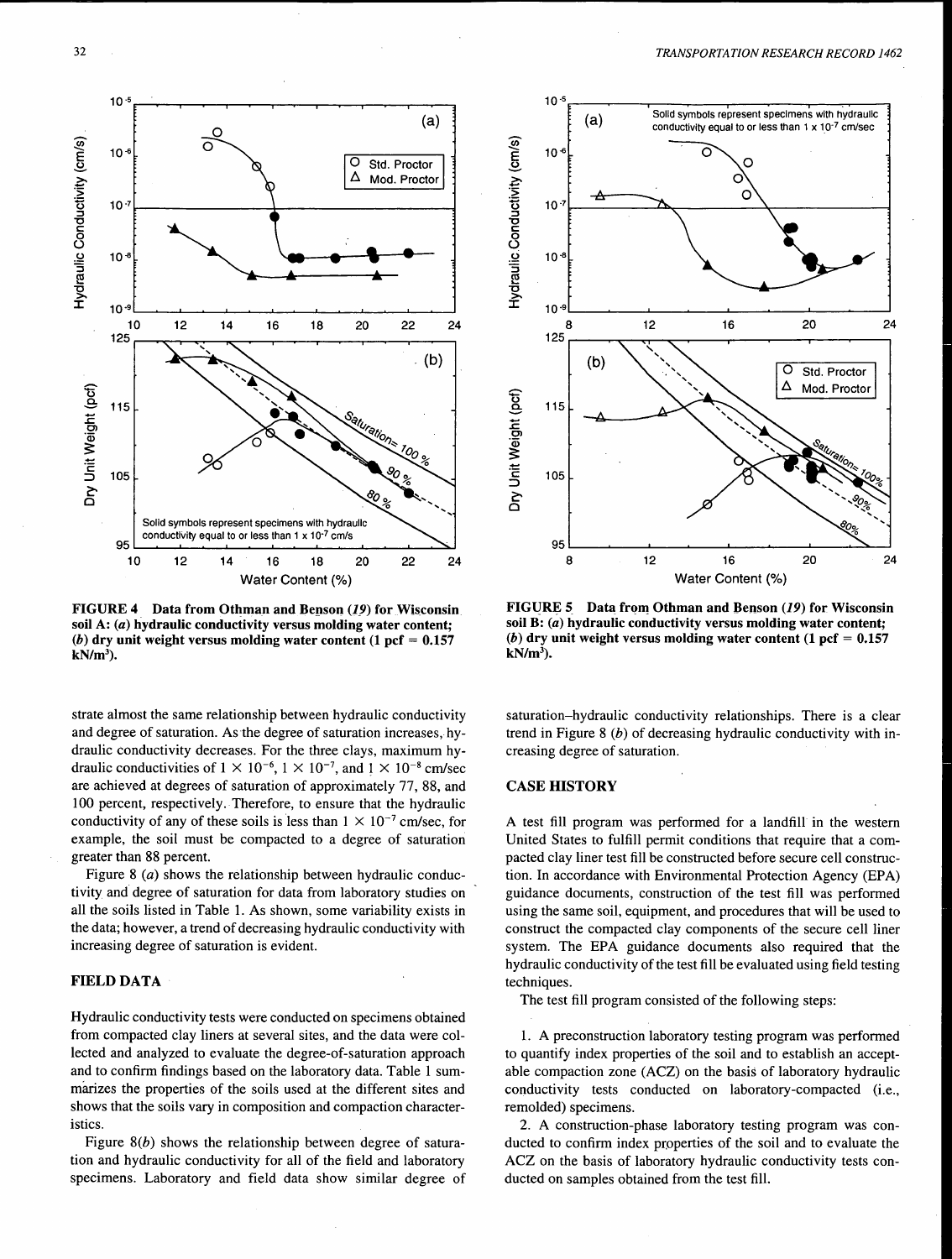

FIGURE 4 Data from Othman and Benson  $(19)$  for Wisconsin soil A: (a) hydraulic conductivity versus molding water content; (b) dry unit weight versus molding water content  $(1 \text{ pcf} = 0.157)$  $kN/m^3$ ).

strate almost the same relationship between hydraulic conductivity and degree of saturation. As the degree of saturation increases, hydraulic conductivity decreases. For the three clays, maximum hydraulic conductivities of  $1 \times 10^{-6}$ ,  $1 \times 10^{-7}$ , and  $1 \times 10^{-8}$  cm/sec are achieved at degrees of saturation of approximately 77, 88, and 100 percent, respectively. Therefore, to ensure that the hydraulic conductivity of any of these soils is less than  $1 \times 10^{-7}$  cm/sec, for example, the soil must be compacted to a degree of saturation greater than 88 percent.

Figure 8 (*a*) shows the relationship between hydraulic conductivity and degree of saturation for data from laboratory studies on all the soils listed in Table 1. As shown, some variability exists in the data; however, a trend of decreasing hydraulic conductivity with increasing degree of saturation is evident.

## FIELD DATA

Hydraulic conductivity tests were conducted on specimens obtained from compacted clay liners at several sites, and the data were collected and analyzed to evaluate the degree-of-saturation approach and to confirm findings based on the laboratory data. Table 1 summanzes the properties of the soils used at the different sites and shows that the soils vary in composition and compaction characteristics.

Figure  $8(b)$  shows the relationship between degree of saturation and hydraulic conductivity for all of the field and laboratory specimens. Laboratory and field data show similar degree of



FIGURE 5 Data from Othman and Benson  $(19)$  for Wisconsin soil B: (a) hydraulic conductivity versus molding water content; (b) dry unit weight versus molding water content  $(1 \text{ pcf} = 0.157)$  $kN/m<sup>3</sup>$ ).

saturation-hydraulic conductivity relationships. There is a clear trend in Figure 8  $(b)$  of decreasing hydraulic conductivity with increasing degree of saturation.

#### CASE HISTORY

A test fill program was performed for a landfill in the western United States to fulfill permit conditions that require that a compacted clay liner test fill be constructed before secure cell construction. In accordance with Environmental Protection Agency (EPA) guidance documents, construction of the test fill was performed using the same soil, equipment, and procedures that will be used to construct the compacted clay components of the secure cell liner system. The EPA guidance documents also required that the hydraulic conductivity of the test fill be evaluated using field testing techniques.

The test fill program consisted of the following steps:

1. A preconstruction laboratory testing program was performed to quantify index properties of the soil and to establish an acceptable compaction zone (ACZ) on the basis of laboratory hydraulic conductivity tests conducted on laboratory-compacted (i.e., remolded) specimens.

2. A construction-phase laboratory testing program was conducted to confirm index properties of the soil and to evaluate the ACZ on the basis of laboratory hydraulic conductivity tests conducted on samples obtained from the test fill.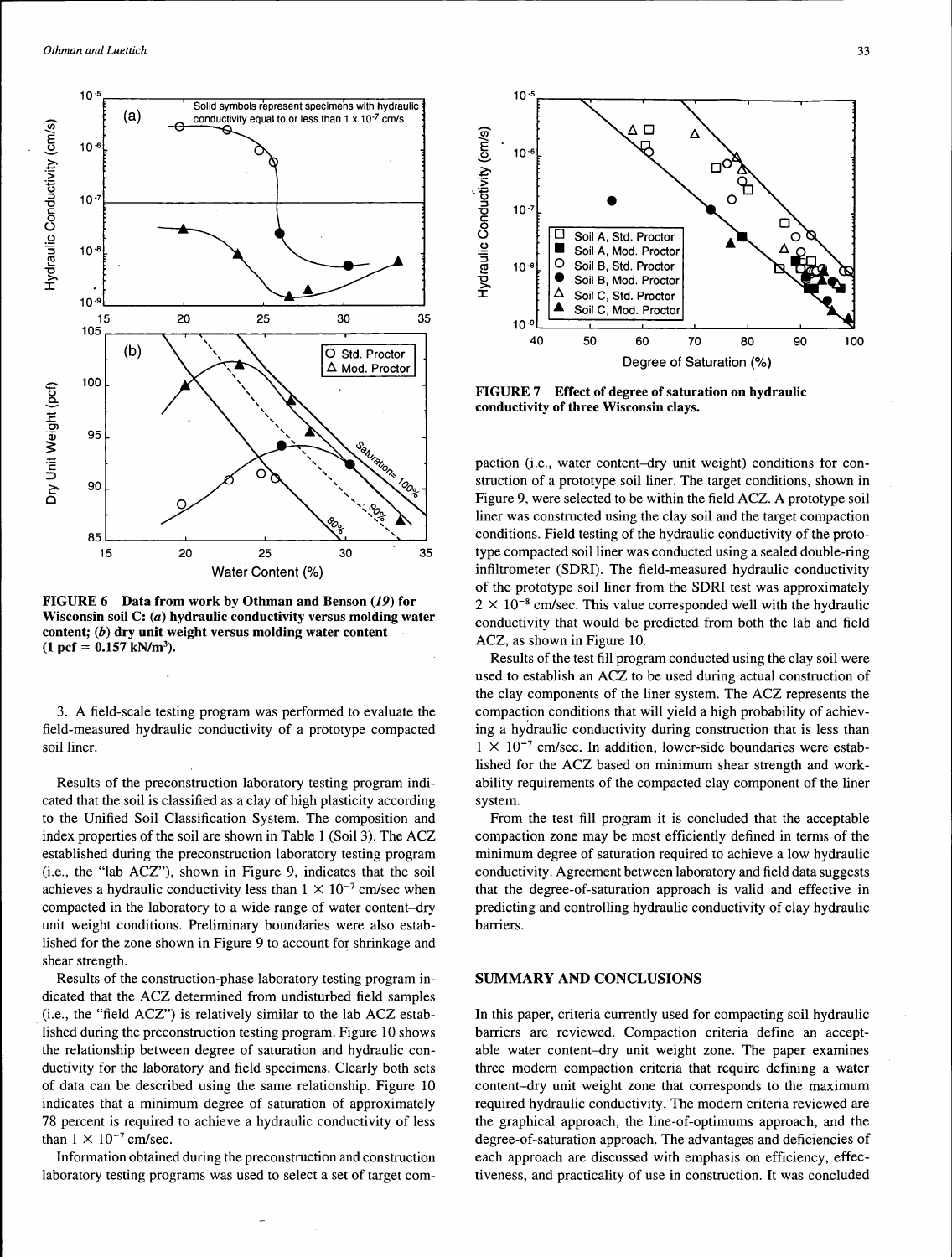

FIGURE 6 Data from work by Othman and Benson (19) for Wisconsin soil C: (a) hydraulic conductivity versus molding water content; (b) dry unit weight versus molding water content  $(1 \text{ pcf} = 0.157 \text{ kN/m}^3).$ 

3. A field-scale testing program was performed to evaluate the field-measured hydraulic conductivity of a prototype compacted soil liner.

Results of the preconstruction laboratory testing program indicated that the soil is classified as a clay of high plasticity according to the Unified Soil Classification System. The composition and index properties of the soil are shown in Table 1 (Soil 3). The ACZ established during the preconstruction laboratory testing program (i.e., the "lab ACZ"), shown in Figure 9, indicates that the soil achieves a hydraulic conductivity less than  $1 \times 10^{-7}$  cm/sec when compacted in the laboratory to a wide range of water content-dry unit weight conditions. Preliminary boundaries were also established for the zone shown in Figure 9 to account for shrinkage and shear strength.

Results of the construction-phase laboratory testing program indicated that the ACZ determined from undisturbed field samples (i.e., the "field ACZ") is relatively similar to the lab ACZ established during the preconstruction testing program. Figure 10 shows the relationship between degree of saturation and hydraulic conductivity for the laboratory and field specimens. Clearly both sets of data can be described using the same relationship. Figure 10 indicates that a minimum degree of saturation of approximately 78 percent is required to achieve a hydraulic conductivity of less than  $1 \times 10^{-7}$  cm/sec.

Information obtained during the preconstruction and construction laboratory testing programs was used to select a set of target com-



FIGURE 7 Effect of degree of saturation on hydraulic conductivity of three Wisconsin clays.

paction (i.e., water content-dry unit weight) conditions for construction of a prototype soil liner. The target conditions, shown in Figure 9, were selected to be within the field ACZ. A prototype soil liner was constructed using the clay soil and the target compaction conditions. Field testing of the hydraulic conductivity of the prototype compacted soil liner was conducted using a sealed double-ring infiltrometer (SDRI). The field-measured hydraulic conductivity of the prototype soil liner from the SDRI test was approximately  $2 \times 10^{-8}$  cm/sec. This value corresponded well with the hydraulic conductivity that would be predicted from both the lab and field ACZ, as shown in Figure 10.

Results of the test fill program conducted using the clay soil were used to establish an ACZ to be used during actual construction of the clay components of the liner system. The ACZ represents the compaction conditions that will yield a high probability of achieving a hydraulic conductivity during construction that is less than  $1 \times 10^{-7}$  cm/sec. In addition, lower-side boundaries were established for the ACZ based on minimum shear strength and workability requirements of the compacted clay component of the liner system.

From the test fill program it is concluded that the acceptable compaction zone may be most efficiently defined in terms of the minimum degree of saturation required to achieve a low hydraulic conductivity. Agreement between laboratory and field data suggests that the degree-of-saturation approach is valid and effective in predicting and controlling hydraulic conductivity of clay hydraulic barriers.

#### SUMMARY AND CONCLUSIONS

In this paper, criteria currently used for compacting soil hydraulic barriers are reviewed. Compaction criteria define an acceptable water content-dry unit weight zone. The paper examines three modem compaction criteria that require defining a water content-dry unit weight zone that corresponds to the maximum required hydraulic conductivity. The modem criteria reviewed are the graphical approach, the line-of-optimums approach, and the degree-of-saturation approach. The advantages and deficiencies of each approach are discussed with emphasis on efficiency, effectiveness, and practicality of use in construction. It was concluded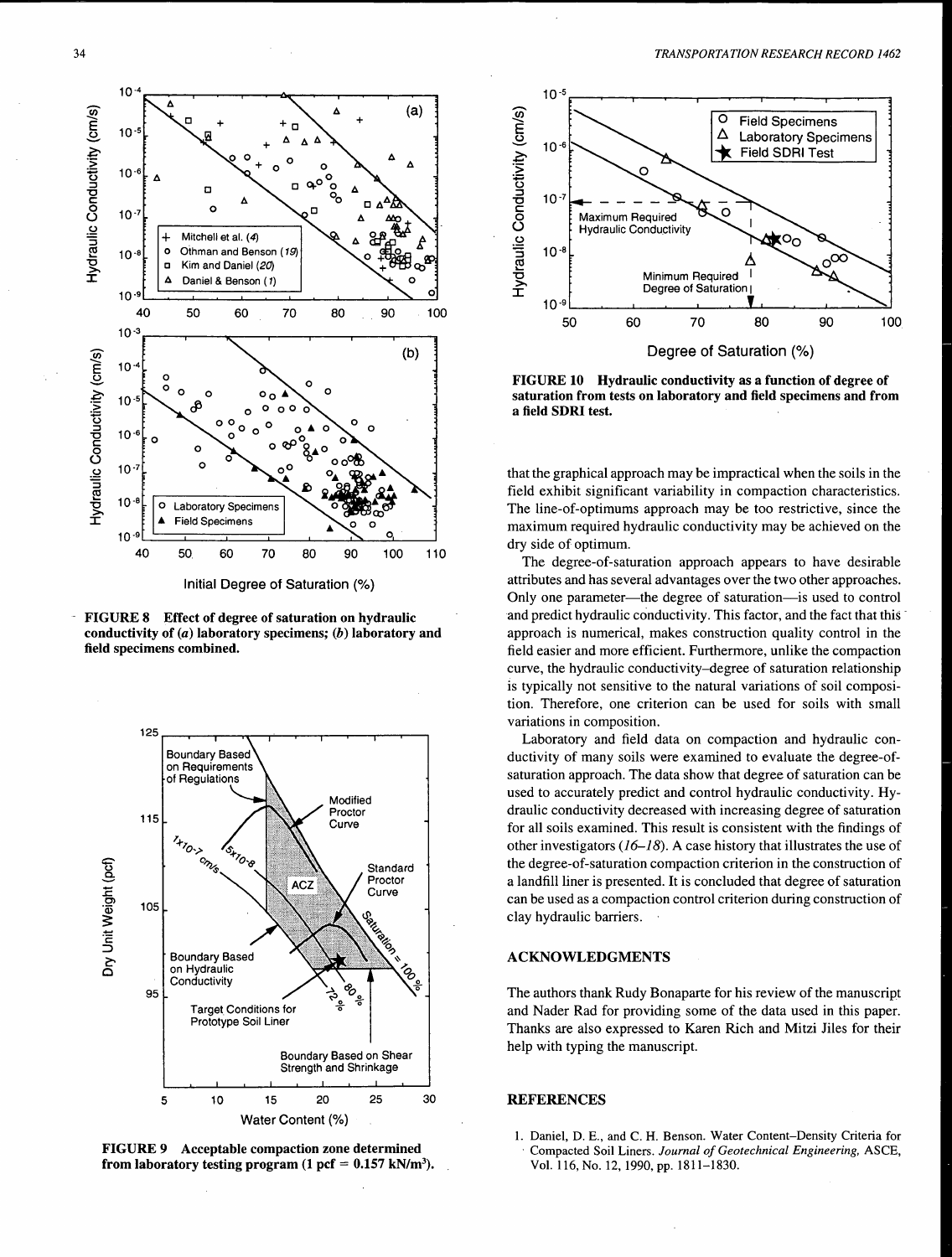

Initial Degree of Saturation(%)

FIGURE 8 Effect of degree of saturation on hydraulic conductivity of  $(a)$  laboratory specimens;  $(b)$  laboratory and field specimens combined.



FIGURE 9 Acceptable compaction zone determined from laboratory testing program  $(1 \text{ pcf} = 0.157 \text{ kN/m}^3)$ .



FIGURE 10 Hydraulic conductivity as a function of degree of saturation from tests on laboratory and field specimens and from a field SDRI test.

that the graphical approach may be impractical when the soils in the field exhibit significant variability in compaction characteristics. The line-of-optimums approach may be too restrictive, since the maximum required hydraulic conductivity may be achieved on the dry side of optimum.

The degree-of-saturation approach appears to have desirable attributes and has several advantages over the two other approaches. Only one parameter—the degree of saturation—is used to control and predict hydraulic conductivity. This factor, and the fact that this approach is numerical, makes construction quality control in the field easier and more efficient. Furthermore, unlike the compaction curve, the hydraulic conductivity-degree of saturation relationship is typically not sensitive to the natural variations of soil composition. Therefore, one criterion can be used for soils with small variations in composition.

Laboratory and field data on compaction and hydraulic conductivity of many soils were examined to evaluate the degree-ofsaturation approach. The data show that degree of saturation can be used to accurately predict and control hydraulic conductivity. Hydraulic conductivity decreased with increasing degree of saturation for all soils examined. This result is consistent with the findings of other investigators  $(16-18)$ . A case history that illustrates the use of the degree-of-saturation compaction criterion in the construction of a landfill liner is presented. It is concluded that degree of saturation can be used as a compaction control criterion during construction of clay hydraulic barriers.

#### ACKNOWLEDGMENTS

The authors thank Rudy Bonaparte for his review of the manuscript and Nader Rad for providing some of the data used in this paper. Thanks are also expressed to Karen Rich and Mitzi Jiles for their help with typing the manuscript.

## **REFERENCES**

1. Daniel, D. E., and C.H. Benson. Water Content-Density Criteria for · Compacted Soil Liners. *Journal of Geotechnical Engineering,* ASCE, Vol. 116, No. 12, 1990, pp. 1811-1830.